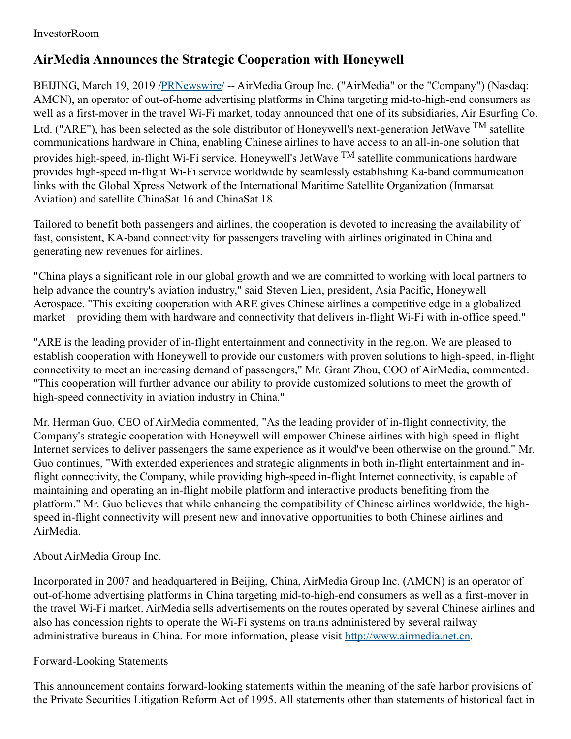## InvestorRoom

## **AirMedia Announces the Strategic Cooperation with Honeywell**

BEIJING, March 19, 2019 [/PRNewswire](http://www.prnewswire.com/)/ -- AirMedia Group Inc. ("AirMedia" or the "Company") (Nasdaq: AMCN), an operator of out-of-home advertising platforms in China targeting mid-to-high-end consumers as well as a first-mover in the travel Wi-Fi market, today announced that one of its subsidiaries, Air Esurfing Co. Ltd. ("ARE"), has been selected as the sole distributor of Honeywell's next-generation JetWave <sup>TM</sup> satellite communications hardware in China, enabling Chinese airlines to have access to an all-in-one solution that provides high-speed, in-flight Wi-Fi service. Honeywell's JetWave <sup>TM</sup> satellite communications hardware provides high-speed in-flight Wi-Fi service worldwide by seamlessly establishing Ka-band communication links with the Global Xpress Network of the International Maritime Satellite Organization (Inmarsat Aviation) and satellite ChinaSat 16 and ChinaSat 18.

Tailored to benefit both passengers and airlines, the cooperation is devoted to increasing the availability of fast, consistent, KA-band connectivity for passengers traveling with airlines originated in China and generating new revenues for airlines.

"China plays a significant role in our global growth and we are committed to working with local partners to help advance the country's aviation industry," said Steven Lien, president, Asia Pacific, Honeywell Aerospace. "This exciting cooperation with ARE gives Chinese airlines a competitive edge in a globalized market – providing them with hardware and connectivity that delivers in-flight Wi-Fi with in-office speed."

"ARE is the leading provider of in-flight entertainment and connectivity in the region. We are pleased to establish cooperation with Honeywell to provide our customers with proven solutions to high-speed, in-flight connectivity to meet an increasing demand of passengers," Mr. Grant Zhou, COO of AirMedia, commented. "This cooperation will further advance our ability to provide customized solutions to meet the growth of high-speed connectivity in aviation industry in China."

Mr. Herman Guo, CEO of AirMedia commented, "As the leading provider of in-flight connectivity, the Company's strategic cooperation with Honeywell will empower Chinese airlines with high-speed in-flight Internet services to deliver passengers the same experience as it would've been otherwise on the ground." Mr. Guo continues, "With extended experiences and strategic alignments in both in-flight entertainment and inflight connectivity, the Company, while providing high-speed in-flight Internet connectivity, is capable of maintaining and operating an in-flight mobile platform and interactive products benefiting from the platform." Mr. Guo believes that while enhancing the compatibility of Chinese airlines worldwide, the highspeed in-flight connectivity will present new and innovative opportunities to both Chinese airlines and AirMedia.

About AirMedia Group Inc.

Incorporated in 2007 and headquartered in Beijing, China, AirMedia Group Inc. (AMCN) is an operator of out-of-home advertising platforms in China targeting mid-to-high-end consumers as well as a first-mover in the travel Wi-Fi market. AirMedia sells advertisements on the routes operated by several Chinese airlines and also has concession rights to operate the Wi-Fi systems on trains administered by several railway administrative bureaus in China. For more information, please visit [http://www.airmedia.net.cn](http://www.airmedia.net.cn/).

## Forward-Looking Statements

This announcement contains forward-looking statements within the meaning of the safe harbor provisions of the Private Securities Litigation Reform Act of 1995. All statements other than statements of historical fact in